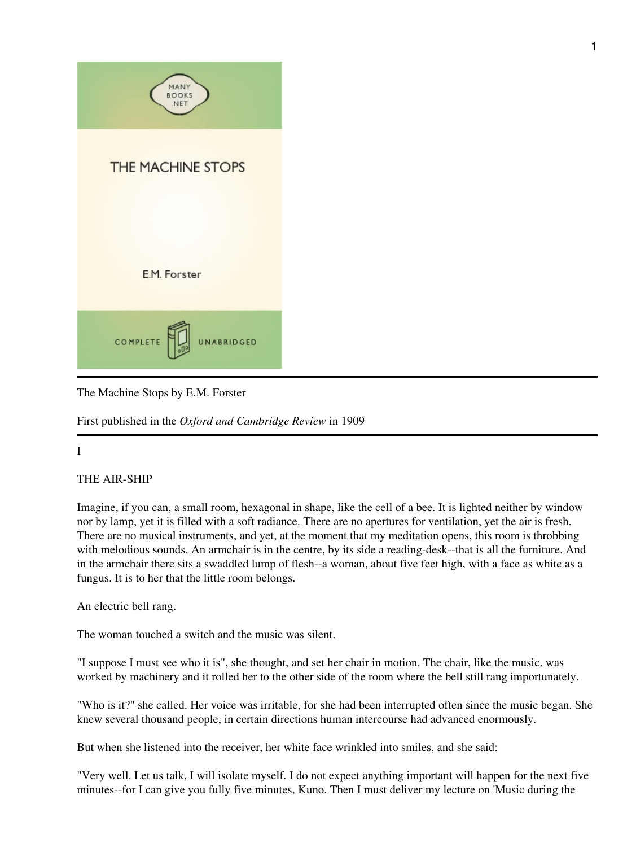

The Machine Stops by E.M. Forster

First published in the *Oxford and Cambridge Review* in 1909

## I

## THE AIR-SHIP

Imagine, if you can, a small room, hexagonal in shape, like the cell of a bee. It is lighted neither by window nor by lamp, yet it is filled with a soft radiance. There are no apertures for ventilation, yet the air is fresh. There are no musical instruments, and yet, at the moment that my meditation opens, this room is throbbing with melodious sounds. An armchair is in the centre, by its side a reading-desk--that is all the furniture. And in the armchair there sits a swaddled lump of flesh--a woman, about five feet high, with a face as white as a fungus. It is to her that the little room belongs.

An electric bell rang.

The woman touched a switch and the music was silent.

"I suppose I must see who it is", she thought, and set her chair in motion. The chair, like the music, was worked by machinery and it rolled her to the other side of the room where the bell still rang importunately.

"Who is it?" she called. Her voice was irritable, for she had been interrupted often since the music began. She knew several thousand people, in certain directions human intercourse had advanced enormously.

But when she listened into the receiver, her white face wrinkled into smiles, and she said:

"Very well. Let us talk, I will isolate myself. I do not expect anything important will happen for the next five minutes--for I can give you fully five minutes, Kuno. Then I must deliver my lecture on 'Music during the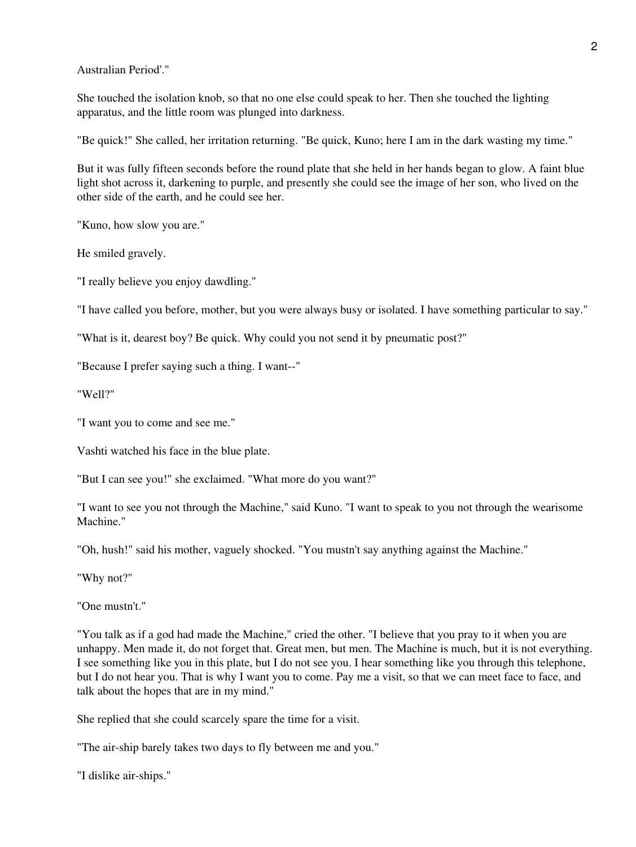Australian Period'."

She touched the isolation knob, so that no one else could speak to her. Then she touched the lighting apparatus, and the little room was plunged into darkness.

"Be quick!" She called, her irritation returning. "Be quick, Kuno; here I am in the dark wasting my time."

But it was fully fifteen seconds before the round plate that she held in her hands began to glow. A faint blue light shot across it, darkening to purple, and presently she could see the image of her son, who lived on the other side of the earth, and he could see her.

"Kuno, how slow you are."

He smiled gravely.

"I really believe you enjoy dawdling."

"I have called you before, mother, but you were always busy or isolated. I have something particular to say."

"What is it, dearest boy? Be quick. Why could you not send it by pneumatic post?"

"Because I prefer saying such a thing. I want--"

"Well?"

"I want you to come and see me."

Vashti watched his face in the blue plate.

"But I can see you!" she exclaimed. "What more do you want?"

"I want to see you not through the Machine," said Kuno. "I want to speak to you not through the wearisome Machine."

"Oh, hush!" said his mother, vaguely shocked. "You mustn't say anything against the Machine."

"Why not?"

"One mustn't."

"You talk as if a god had made the Machine," cried the other. "I believe that you pray to it when you are unhappy. Men made it, do not forget that. Great men, but men. The Machine is much, but it is not everything. I see something like you in this plate, but I do not see you. I hear something like you through this telephone, but I do not hear you. That is why I want you to come. Pay me a visit, so that we can meet face to face, and talk about the hopes that are in my mind."

She replied that she could scarcely spare the time for a visit.

"The air-ship barely takes two days to fly between me and you."

"I dislike air-ships."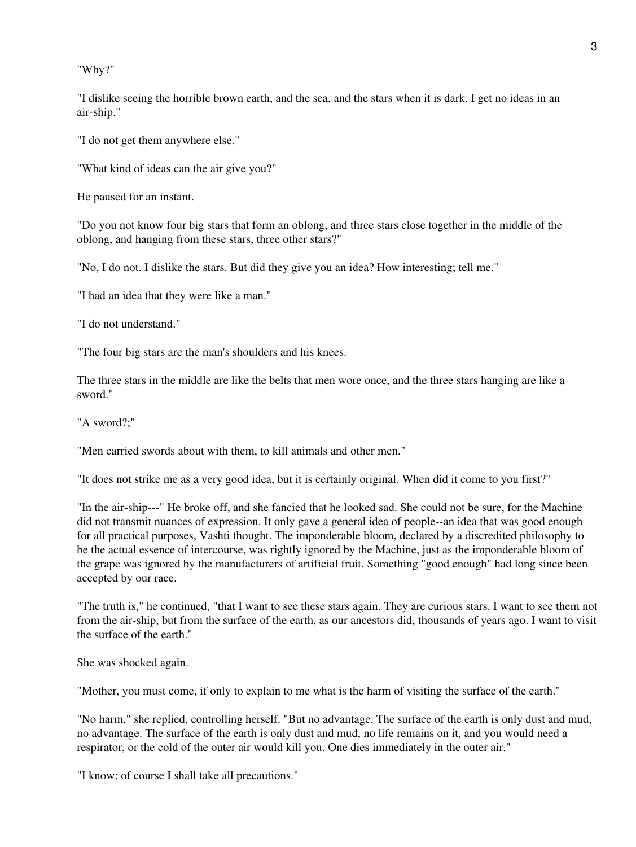"Why?"

"I dislike seeing the horrible brown earth, and the sea, and the stars when it is dark. I get no ideas in an air-ship."

"I do not get them anywhere else."

"What kind of ideas can the air give you?"

He paused for an instant.

"Do you not know four big stars that form an oblong, and three stars close together in the middle of the oblong, and hanging from these stars, three other stars?"

"No, I do not. I dislike the stars. But did they give you an idea? How interesting; tell me."

"I had an idea that they were like a man."

"I do not understand."

"The four big stars are the man's shoulders and his knees.

The three stars in the middle are like the belts that men wore once, and the three stars hanging are like a sword."

"A sword?;"

"Men carried swords about with them, to kill animals and other men."

"It does not strike me as a very good idea, but it is certainly original. When did it come to you first?"

"In the air-ship---" He broke off, and she fancied that he looked sad. She could not be sure, for the Machine did not transmit nuances of expression. It only gave a general idea of people--an idea that was good enough for all practical purposes, Vashti thought. The imponderable bloom, declared by a discredited philosophy to be the actual essence of intercourse, was rightly ignored by the Machine, just as the imponderable bloom of the grape was ignored by the manufacturers of artificial fruit. Something "good enough" had long since been accepted by our race.

"The truth is," he continued, "that I want to see these stars again. They are curious stars. I want to see them not from the air-ship, but from the surface of the earth, as our ancestors did, thousands of years ago. I want to visit the surface of the earth."

She was shocked again.

"Mother, you must come, if only to explain to me what is the harm of visiting the surface of the earth."

"No harm," she replied, controlling herself. "But no advantage. The surface of the earth is only dust and mud, no advantage. The surface of the earth is only dust and mud, no life remains on it, and you would need a respirator, or the cold of the outer air would kill you. One dies immediately in the outer air."

"I know; of course I shall take all precautions."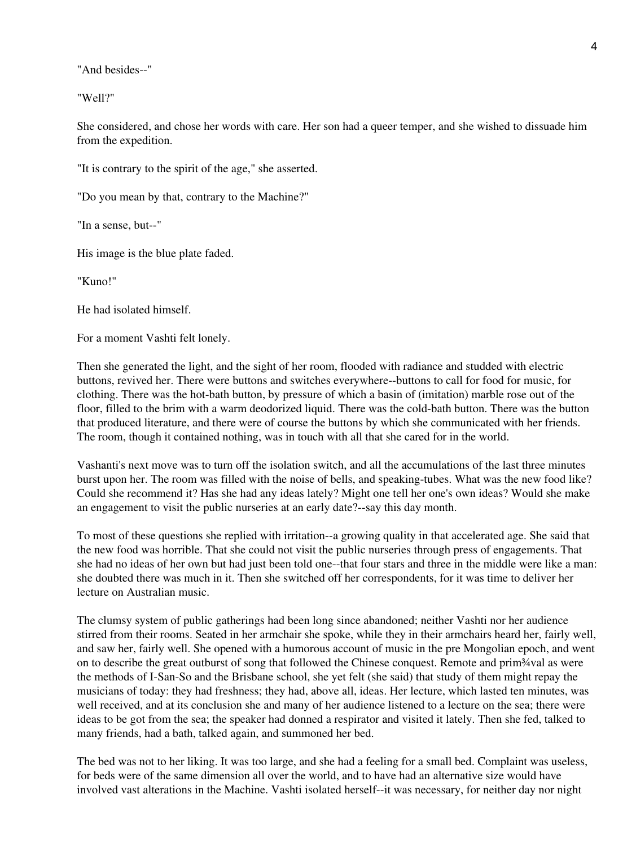"And besides--"

"Well?"

She considered, and chose her words with care. Her son had a queer temper, and she wished to dissuade him from the expedition.

"It is contrary to the spirit of the age," she asserted.

"Do you mean by that, contrary to the Machine?"

"In a sense, but--"

His image is the blue plate faded.

"Kuno!"

He had isolated himself.

For a moment Vashti felt lonely.

Then she generated the light, and the sight of her room, flooded with radiance and studded with electric buttons, revived her. There were buttons and switches everywhere--buttons to call for food for music, for clothing. There was the hot-bath button, by pressure of which a basin of (imitation) marble rose out of the floor, filled to the brim with a warm deodorized liquid. There was the cold-bath button. There was the button that produced literature, and there were of course the buttons by which she communicated with her friends. The room, though it contained nothing, was in touch with all that she cared for in the world.

Vashanti's next move was to turn off the isolation switch, and all the accumulations of the last three minutes burst upon her. The room was filled with the noise of bells, and speaking-tubes. What was the new food like? Could she recommend it? Has she had any ideas lately? Might one tell her one's own ideas? Would she make an engagement to visit the public nurseries at an early date?--say this day month.

To most of these questions she replied with irritation--a growing quality in that accelerated age. She said that the new food was horrible. That she could not visit the public nurseries through press of engagements. That she had no ideas of her own but had just been told one--that four stars and three in the middle were like a man: she doubted there was much in it. Then she switched off her correspondents, for it was time to deliver her lecture on Australian music.

The clumsy system of public gatherings had been long since abandoned; neither Vashti nor her audience stirred from their rooms. Seated in her armchair she spoke, while they in their armchairs heard her, fairly well, and saw her, fairly well. She opened with a humorous account of music in the pre Mongolian epoch, and went on to describe the great outburst of song that followed the Chinese conquest. Remote and prim<sup>3</sup>/val as were the methods of I-San-So and the Brisbane school, she yet felt (she said) that study of them might repay the musicians of today: they had freshness; they had, above all, ideas. Her lecture, which lasted ten minutes, was well received, and at its conclusion she and many of her audience listened to a lecture on the sea; there were ideas to be got from the sea; the speaker had donned a respirator and visited it lately. Then she fed, talked to many friends, had a bath, talked again, and summoned her bed.

The bed was not to her liking. It was too large, and she had a feeling for a small bed. Complaint was useless, for beds were of the same dimension all over the world, and to have had an alternative size would have involved vast alterations in the Machine. Vashti isolated herself--it was necessary, for neither day nor night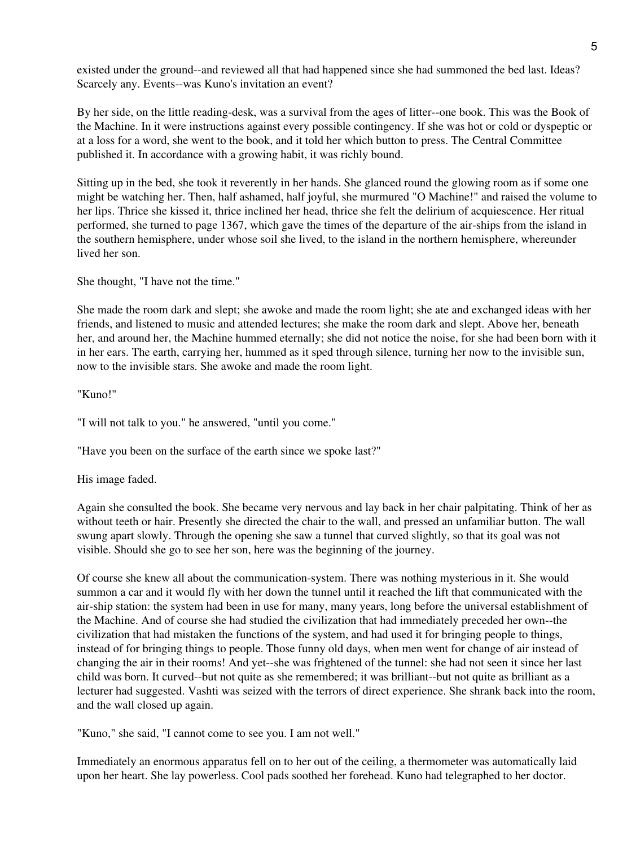existed under the ground--and reviewed all that had happened since she had summoned the bed last. Ideas? Scarcely any. Events--was Kuno's invitation an event?

By her side, on the little reading-desk, was a survival from the ages of litter--one book. This was the Book of the Machine. In it were instructions against every possible contingency. If she was hot or cold or dyspeptic or at a loss for a word, she went to the book, and it told her which button to press. The Central Committee published it. In accordance with a growing habit, it was richly bound.

Sitting up in the bed, she took it reverently in her hands. She glanced round the glowing room as if some one might be watching her. Then, half ashamed, half joyful, she murmured "O Machine!" and raised the volume to her lips. Thrice she kissed it, thrice inclined her head, thrice she felt the delirium of acquiescence. Her ritual performed, she turned to page 1367, which gave the times of the departure of the air-ships from the island in the southern hemisphere, under whose soil she lived, to the island in the northern hemisphere, whereunder lived her son.

She thought, "I have not the time."

She made the room dark and slept; she awoke and made the room light; she ate and exchanged ideas with her friends, and listened to music and attended lectures; she make the room dark and slept. Above her, beneath her, and around her, the Machine hummed eternally; she did not notice the noise, for she had been born with it in her ears. The earth, carrying her, hummed as it sped through silence, turning her now to the invisible sun, now to the invisible stars. She awoke and made the room light.

"Kuno!"

"I will not talk to you." he answered, "until you come."

"Have you been on the surface of the earth since we spoke last?"

His image faded.

Again she consulted the book. She became very nervous and lay back in her chair palpitating. Think of her as without teeth or hair. Presently she directed the chair to the wall, and pressed an unfamiliar button. The wall swung apart slowly. Through the opening she saw a tunnel that curved slightly, so that its goal was not visible. Should she go to see her son, here was the beginning of the journey.

Of course she knew all about the communication-system. There was nothing mysterious in it. She would summon a car and it would fly with her down the tunnel until it reached the lift that communicated with the air-ship station: the system had been in use for many, many years, long before the universal establishment of the Machine. And of course she had studied the civilization that had immediately preceded her own--the civilization that had mistaken the functions of the system, and had used it for bringing people to things, instead of for bringing things to people. Those funny old days, when men went for change of air instead of changing the air in their rooms! And yet--she was frightened of the tunnel: she had not seen it since her last child was born. It curved--but not quite as she remembered; it was brilliant--but not quite as brilliant as a lecturer had suggested. Vashti was seized with the terrors of direct experience. She shrank back into the room, and the wall closed up again.

"Kuno," she said, "I cannot come to see you. I am not well."

Immediately an enormous apparatus fell on to her out of the ceiling, a thermometer was automatically laid upon her heart. She lay powerless. Cool pads soothed her forehead. Kuno had telegraphed to her doctor.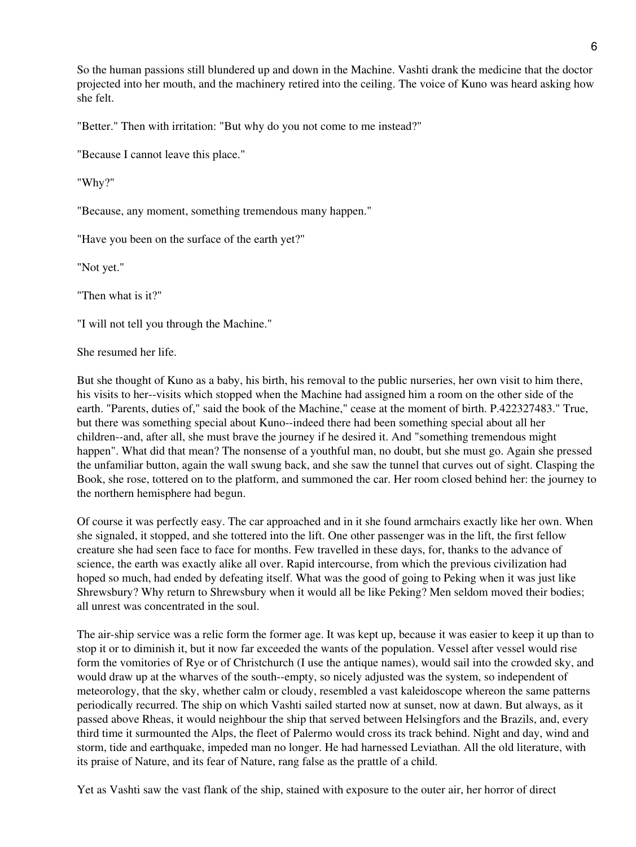So the human passions still blundered up and down in the Machine. Vashti drank the medicine that the doctor projected into her mouth, and the machinery retired into the ceiling. The voice of Kuno was heard asking how she felt.

"Better." Then with irritation: "But why do you not come to me instead?"

"Because I cannot leave this place."

"Why?"

"Because, any moment, something tremendous many happen."

"Have you been on the surface of the earth yet?"

"Not yet."

"Then what is it?"

"I will not tell you through the Machine."

She resumed her life.

But she thought of Kuno as a baby, his birth, his removal to the public nurseries, her own visit to him there, his visits to her--visits which stopped when the Machine had assigned him a room on the other side of the earth. "Parents, duties of," said the book of the Machine," cease at the moment of birth. P.422327483." True, but there was something special about Kuno--indeed there had been something special about all her children--and, after all, she must brave the journey if he desired it. And "something tremendous might happen". What did that mean? The nonsense of a youthful man, no doubt, but she must go. Again she pressed the unfamiliar button, again the wall swung back, and she saw the tunnel that curves out of sight. Clasping the Book, she rose, tottered on to the platform, and summoned the car. Her room closed behind her: the journey to the northern hemisphere had begun.

Of course it was perfectly easy. The car approached and in it she found armchairs exactly like her own. When she signaled, it stopped, and she tottered into the lift. One other passenger was in the lift, the first fellow creature she had seen face to face for months. Few travelled in these days, for, thanks to the advance of science, the earth was exactly alike all over. Rapid intercourse, from which the previous civilization had hoped so much, had ended by defeating itself. What was the good of going to Peking when it was just like Shrewsbury? Why return to Shrewsbury when it would all be like Peking? Men seldom moved their bodies; all unrest was concentrated in the soul.

The air-ship service was a relic form the former age. It was kept up, because it was easier to keep it up than to stop it or to diminish it, but it now far exceeded the wants of the population. Vessel after vessel would rise form the vomitories of Rye or of Christchurch (I use the antique names), would sail into the crowded sky, and would draw up at the wharves of the south--empty, so nicely adjusted was the system, so independent of meteorology, that the sky, whether calm or cloudy, resembled a vast kaleidoscope whereon the same patterns periodically recurred. The ship on which Vashti sailed started now at sunset, now at dawn. But always, as it passed above Rheas, it would neighbour the ship that served between Helsingfors and the Brazils, and, every third time it surmounted the Alps, the fleet of Palermo would cross its track behind. Night and day, wind and storm, tide and earthquake, impeded man no longer. He had harnessed Leviathan. All the old literature, with its praise of Nature, and its fear of Nature, rang false as the prattle of a child.

Yet as Vashti saw the vast flank of the ship, stained with exposure to the outer air, her horror of direct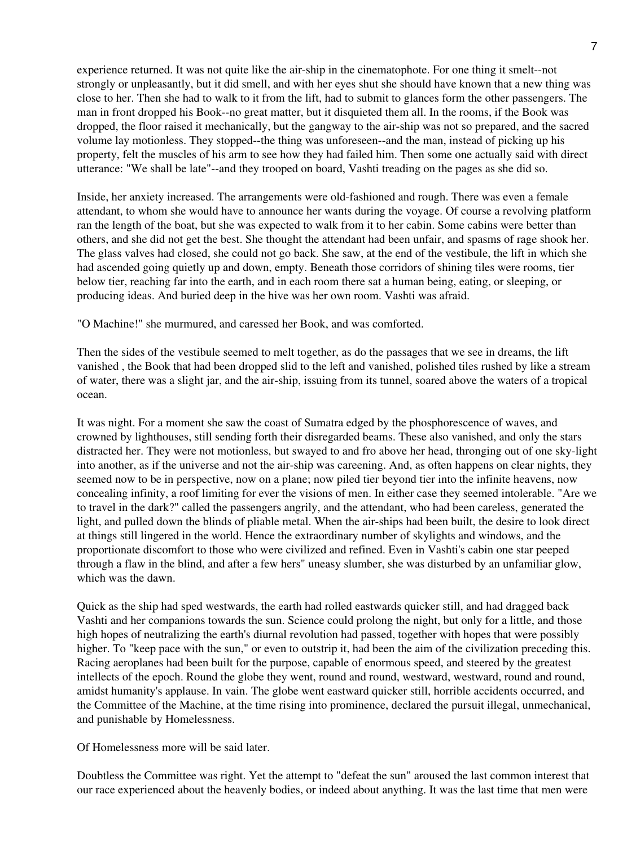experience returned. It was not quite like the air-ship in the cinematophote. For one thing it smelt--not strongly or unpleasantly, but it did smell, and with her eyes shut she should have known that a new thing was close to her. Then she had to walk to it from the lift, had to submit to glances form the other passengers. The man in front dropped his Book--no great matter, but it disquieted them all. In the rooms, if the Book was dropped, the floor raised it mechanically, but the gangway to the air-ship was not so prepared, and the sacred volume lay motionless. They stopped--the thing was unforeseen--and the man, instead of picking up his property, felt the muscles of his arm to see how they had failed him. Then some one actually said with direct utterance: "We shall be late"--and they trooped on board, Vashti treading on the pages as she did so.

Inside, her anxiety increased. The arrangements were old-fashioned and rough. There was even a female attendant, to whom she would have to announce her wants during the voyage. Of course a revolving platform ran the length of the boat, but she was expected to walk from it to her cabin. Some cabins were better than others, and she did not get the best. She thought the attendant had been unfair, and spasms of rage shook her. The glass valves had closed, she could not go back. She saw, at the end of the vestibule, the lift in which she had ascended going quietly up and down, empty. Beneath those corridors of shining tiles were rooms, tier below tier, reaching far into the earth, and in each room there sat a human being, eating, or sleeping, or producing ideas. And buried deep in the hive was her own room. Vashti was afraid.

"O Machine!" she murmured, and caressed her Book, and was comforted.

Then the sides of the vestibule seemed to melt together, as do the passages that we see in dreams, the lift vanished , the Book that had been dropped slid to the left and vanished, polished tiles rushed by like a stream of water, there was a slight jar, and the air-ship, issuing from its tunnel, soared above the waters of a tropical ocean.

It was night. For a moment she saw the coast of Sumatra edged by the phosphorescence of waves, and crowned by lighthouses, still sending forth their disregarded beams. These also vanished, and only the stars distracted her. They were not motionless, but swayed to and fro above her head, thronging out of one sky-light into another, as if the universe and not the air-ship was careening. And, as often happens on clear nights, they seemed now to be in perspective, now on a plane; now piled tier beyond tier into the infinite heavens, now concealing infinity, a roof limiting for ever the visions of men. In either case they seemed intolerable. "Are we to travel in the dark?" called the passengers angrily, and the attendant, who had been careless, generated the light, and pulled down the blinds of pliable metal. When the air-ships had been built, the desire to look direct at things still lingered in the world. Hence the extraordinary number of skylights and windows, and the proportionate discomfort to those who were civilized and refined. Even in Vashti's cabin one star peeped through a flaw in the blind, and after a few hers" uneasy slumber, she was disturbed by an unfamiliar glow, which was the dawn.

Quick as the ship had sped westwards, the earth had rolled eastwards quicker still, and had dragged back Vashti and her companions towards the sun. Science could prolong the night, but only for a little, and those high hopes of neutralizing the earth's diurnal revolution had passed, together with hopes that were possibly higher. To "keep pace with the sun," or even to outstrip it, had been the aim of the civilization preceding this. Racing aeroplanes had been built for the purpose, capable of enormous speed, and steered by the greatest intellects of the epoch. Round the globe they went, round and round, westward, westward, round and round, amidst humanity's applause. In vain. The globe went eastward quicker still, horrible accidents occurred, and the Committee of the Machine, at the time rising into prominence, declared the pursuit illegal, unmechanical, and punishable by Homelessness.

Of Homelessness more will be said later.

Doubtless the Committee was right. Yet the attempt to "defeat the sun" aroused the last common interest that our race experienced about the heavenly bodies, or indeed about anything. It was the last time that men were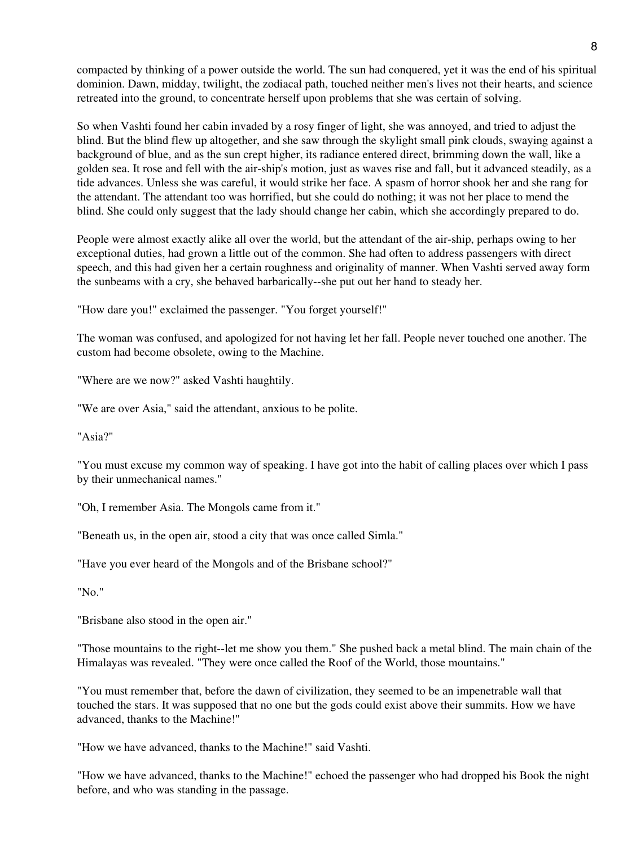compacted by thinking of a power outside the world. The sun had conquered, yet it was the end of his spiritual dominion. Dawn, midday, twilight, the zodiacal path, touched neither men's lives not their hearts, and science retreated into the ground, to concentrate herself upon problems that she was certain of solving.

So when Vashti found her cabin invaded by a rosy finger of light, she was annoyed, and tried to adjust the blind. But the blind flew up altogether, and she saw through the skylight small pink clouds, swaying against a background of blue, and as the sun crept higher, its radiance entered direct, brimming down the wall, like a golden sea. It rose and fell with the air-ship's motion, just as waves rise and fall, but it advanced steadily, as a tide advances. Unless she was careful, it would strike her face. A spasm of horror shook her and she rang for the attendant. The attendant too was horrified, but she could do nothing; it was not her place to mend the blind. She could only suggest that the lady should change her cabin, which she accordingly prepared to do.

People were almost exactly alike all over the world, but the attendant of the air-ship, perhaps owing to her exceptional duties, had grown a little out of the common. She had often to address passengers with direct speech, and this had given her a certain roughness and originality of manner. When Vashti served away form the sunbeams with a cry, she behaved barbarically--she put out her hand to steady her.

"How dare you!" exclaimed the passenger. "You forget yourself!"

The woman was confused, and apologized for not having let her fall. People never touched one another. The custom had become obsolete, owing to the Machine.

"Where are we now?" asked Vashti haughtily.

"We are over Asia," said the attendant, anxious to be polite.

"Asia?"

"You must excuse my common way of speaking. I have got into the habit of calling places over which I pass by their unmechanical names."

"Oh, I remember Asia. The Mongols came from it."

"Beneath us, in the open air, stood a city that was once called Simla."

"Have you ever heard of the Mongols and of the Brisbane school?"

"No."

"Brisbane also stood in the open air."

"Those mountains to the right--let me show you them." She pushed back a metal blind. The main chain of the Himalayas was revealed. "They were once called the Roof of the World, those mountains."

"You must remember that, before the dawn of civilization, they seemed to be an impenetrable wall that touched the stars. It was supposed that no one but the gods could exist above their summits. How we have advanced, thanks to the Machine!"

"How we have advanced, thanks to the Machine!" said Vashti.

"How we have advanced, thanks to the Machine!" echoed the passenger who had dropped his Book the night before, and who was standing in the passage.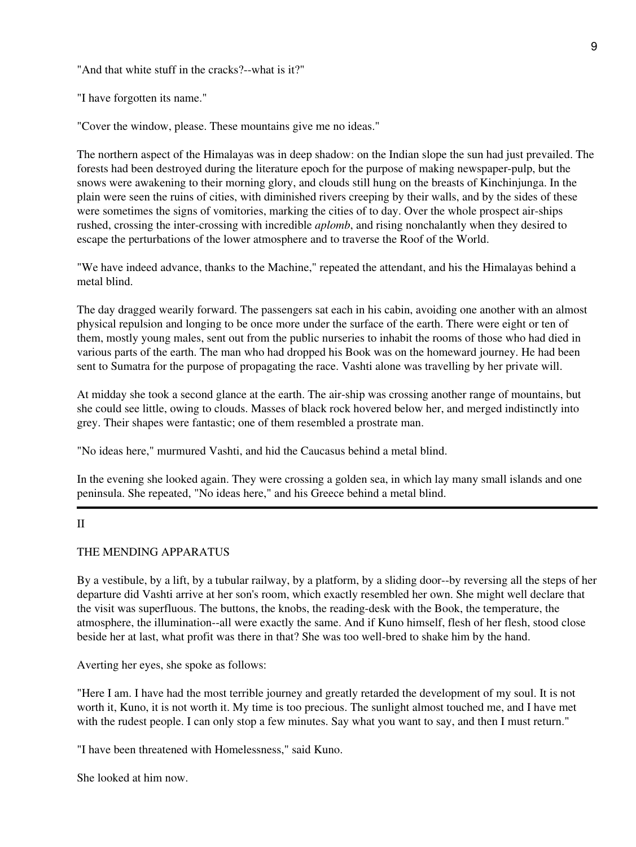"And that white stuff in the cracks?--what is it?"

"I have forgotten its name."

"Cover the window, please. These mountains give me no ideas."

The northern aspect of the Himalayas was in deep shadow: on the Indian slope the sun had just prevailed. The forests had been destroyed during the literature epoch for the purpose of making newspaper-pulp, but the snows were awakening to their morning glory, and clouds still hung on the breasts of Kinchinjunga. In the plain were seen the ruins of cities, with diminished rivers creeping by their walls, and by the sides of these were sometimes the signs of vomitories, marking the cities of to day. Over the whole prospect air-ships rushed, crossing the inter-crossing with incredible *aplomb*, and rising nonchalantly when they desired to escape the perturbations of the lower atmosphere and to traverse the Roof of the World.

"We have indeed advance, thanks to the Machine," repeated the attendant, and his the Himalayas behind a metal blind.

The day dragged wearily forward. The passengers sat each in his cabin, avoiding one another with an almost physical repulsion and longing to be once more under the surface of the earth. There were eight or ten of them, mostly young males, sent out from the public nurseries to inhabit the rooms of those who had died in various parts of the earth. The man who had dropped his Book was on the homeward journey. He had been sent to Sumatra for the purpose of propagating the race. Vashti alone was travelling by her private will.

At midday she took a second glance at the earth. The air-ship was crossing another range of mountains, but she could see little, owing to clouds. Masses of black rock hovered below her, and merged indistinctly into grey. Their shapes were fantastic; one of them resembled a prostrate man.

"No ideas here," murmured Vashti, and hid the Caucasus behind a metal blind.

In the evening she looked again. They were crossing a golden sea, in which lay many small islands and one peninsula. She repeated, "No ideas here," and his Greece behind a metal blind.

## II

# THE MENDING APPARATUS

By a vestibule, by a lift, by a tubular railway, by a platform, by a sliding door--by reversing all the steps of her departure did Vashti arrive at her son's room, which exactly resembled her own. She might well declare that the visit was superfluous. The buttons, the knobs, the reading-desk with the Book, the temperature, the atmosphere, the illumination--all were exactly the same. And if Kuno himself, flesh of her flesh, stood close beside her at last, what profit was there in that? She was too well-bred to shake him by the hand.

Averting her eyes, she spoke as follows:

"Here I am. I have had the most terrible journey and greatly retarded the development of my soul. It is not worth it, Kuno, it is not worth it. My time is too precious. The sunlight almost touched me, and I have met with the rudest people. I can only stop a few minutes. Say what you want to say, and then I must return."

"I have been threatened with Homelessness," said Kuno.

She looked at him now.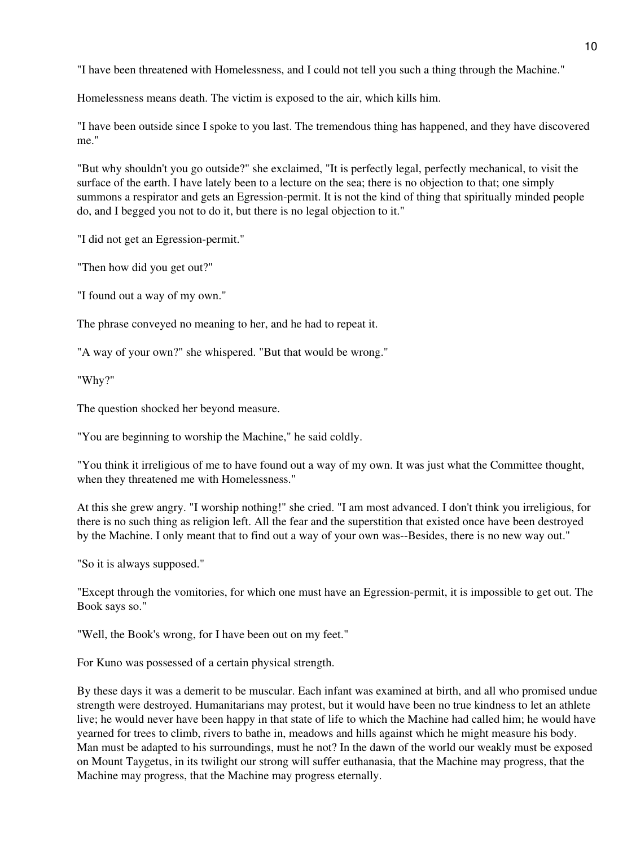"I have been threatened with Homelessness, and I could not tell you such a thing through the Machine."

Homelessness means death. The victim is exposed to the air, which kills him.

"I have been outside since I spoke to you last. The tremendous thing has happened, and they have discovered me."

"But why shouldn't you go outside?" she exclaimed, "It is perfectly legal, perfectly mechanical, to visit the surface of the earth. I have lately been to a lecture on the sea; there is no objection to that; one simply summons a respirator and gets an Egression-permit. It is not the kind of thing that spiritually minded people do, and I begged you not to do it, but there is no legal objection to it."

"I did not get an Egression-permit."

"Then how did you get out?"

"I found out a way of my own."

The phrase conveyed no meaning to her, and he had to repeat it.

"A way of your own?" she whispered. "But that would be wrong."

"Why?"

The question shocked her beyond measure.

"You are beginning to worship the Machine," he said coldly.

"You think it irreligious of me to have found out a way of my own. It was just what the Committee thought, when they threatened me with Homelessness."

At this she grew angry. "I worship nothing!" she cried. "I am most advanced. I don't think you irreligious, for there is no such thing as religion left. All the fear and the superstition that existed once have been destroyed by the Machine. I only meant that to find out a way of your own was--Besides, there is no new way out."

"So it is always supposed."

"Except through the vomitories, for which one must have an Egression-permit, it is impossible to get out. The Book says so."

"Well, the Book's wrong, for I have been out on my feet."

For Kuno was possessed of a certain physical strength.

By these days it was a demerit to be muscular. Each infant was examined at birth, and all who promised undue strength were destroyed. Humanitarians may protest, but it would have been no true kindness to let an athlete live; he would never have been happy in that state of life to which the Machine had called him; he would have yearned for trees to climb, rivers to bathe in, meadows and hills against which he might measure his body. Man must be adapted to his surroundings, must he not? In the dawn of the world our weakly must be exposed on Mount Taygetus, in its twilight our strong will suffer euthanasia, that the Machine may progress, that the Machine may progress, that the Machine may progress eternally.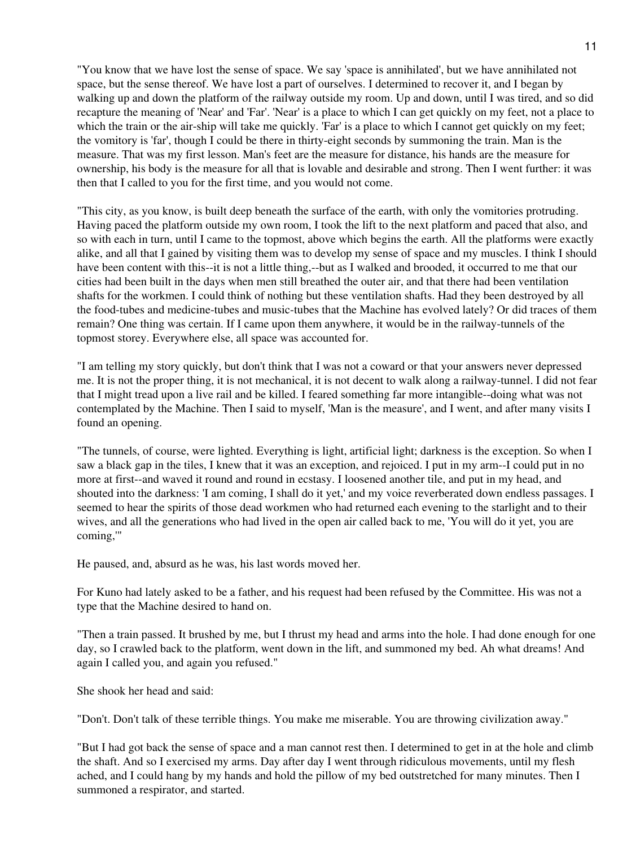"You know that we have lost the sense of space. We say 'space is annihilated', but we have annihilated not space, but the sense thereof. We have lost a part of ourselves. I determined to recover it, and I began by walking up and down the platform of the railway outside my room. Up and down, until I was tired, and so did recapture the meaning of 'Near' and 'Far'. 'Near' is a place to which I can get quickly on my feet, not a place to which the train or the air-ship will take me quickly. 'Far' is a place to which I cannot get quickly on my feet; the vomitory is 'far', though I could be there in thirty-eight seconds by summoning the train. Man is the measure. That was my first lesson. Man's feet are the measure for distance, his hands are the measure for ownership, his body is the measure for all that is lovable and desirable and strong. Then I went further: it was then that I called to you for the first time, and you would not come.

"This city, as you know, is built deep beneath the surface of the earth, with only the vomitories protruding. Having paced the platform outside my own room, I took the lift to the next platform and paced that also, and so with each in turn, until I came to the topmost, above which begins the earth. All the platforms were exactly alike, and all that I gained by visiting them was to develop my sense of space and my muscles. I think I should have been content with this--it is not a little thing,--but as I walked and brooded, it occurred to me that our cities had been built in the days when men still breathed the outer air, and that there had been ventilation shafts for the workmen. I could think of nothing but these ventilation shafts. Had they been destroyed by all the food-tubes and medicine-tubes and music-tubes that the Machine has evolved lately? Or did traces of them remain? One thing was certain. If I came upon them anywhere, it would be in the railway-tunnels of the topmost storey. Everywhere else, all space was accounted for.

"I am telling my story quickly, but don't think that I was not a coward or that your answers never depressed me. It is not the proper thing, it is not mechanical, it is not decent to walk along a railway-tunnel. I did not fear that I might tread upon a live rail and be killed. I feared something far more intangible--doing what was not contemplated by the Machine. Then I said to myself, 'Man is the measure', and I went, and after many visits I found an opening.

"The tunnels, of course, were lighted. Everything is light, artificial light; darkness is the exception. So when I saw a black gap in the tiles, I knew that it was an exception, and rejoiced. I put in my arm--I could put in no more at first--and waved it round and round in ecstasy. I loosened another tile, and put in my head, and shouted into the darkness: 'I am coming, I shall do it yet,' and my voice reverberated down endless passages. I seemed to hear the spirits of those dead workmen who had returned each evening to the starlight and to their wives, and all the generations who had lived in the open air called back to me, 'You will do it yet, you are coming,'"

He paused, and, absurd as he was, his last words moved her.

For Kuno had lately asked to be a father, and his request had been refused by the Committee. His was not a type that the Machine desired to hand on.

"Then a train passed. It brushed by me, but I thrust my head and arms into the hole. I had done enough for one day, so I crawled back to the platform, went down in the lift, and summoned my bed. Ah what dreams! And again I called you, and again you refused."

She shook her head and said:

"Don't. Don't talk of these terrible things. You make me miserable. You are throwing civilization away."

"But I had got back the sense of space and a man cannot rest then. I determined to get in at the hole and climb the shaft. And so I exercised my arms. Day after day I went through ridiculous movements, until my flesh ached, and I could hang by my hands and hold the pillow of my bed outstretched for many minutes. Then I summoned a respirator, and started.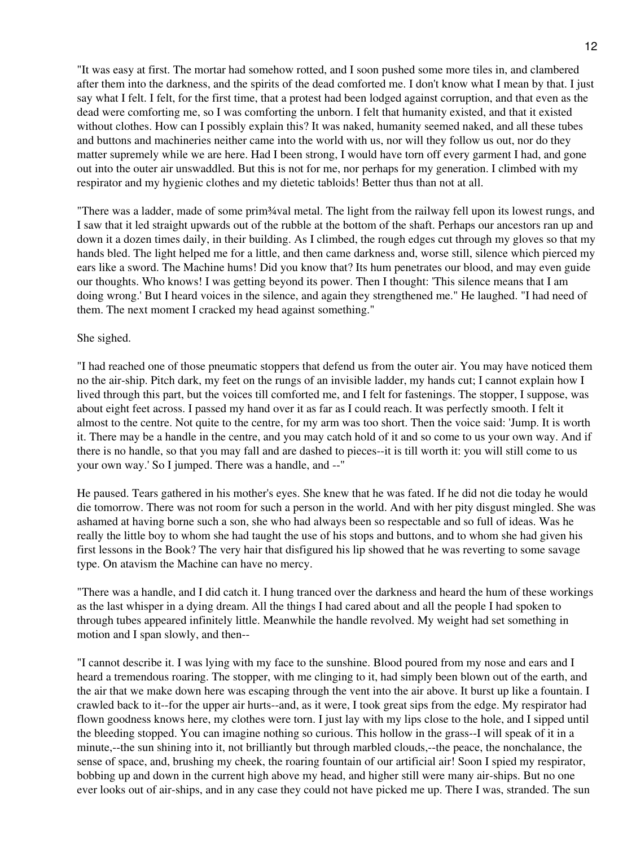"It was easy at first. The mortar had somehow rotted, and I soon pushed some more tiles in, and clambered after them into the darkness, and the spirits of the dead comforted me. I don't know what I mean by that. I just say what I felt. I felt, for the first time, that a protest had been lodged against corruption, and that even as the dead were comforting me, so I was comforting the unborn. I felt that humanity existed, and that it existed without clothes. How can I possibly explain this? It was naked, humanity seemed naked, and all these tubes and buttons and machineries neither came into the world with us, nor will they follow us out, nor do they matter supremely while we are here. Had I been strong, I would have torn off every garment I had, and gone out into the outer air unswaddled. But this is not for me, nor perhaps for my generation. I climbed with my respirator and my hygienic clothes and my dietetic tabloids! Better thus than not at all.

"There was a ladder, made of some prim¾val metal. The light from the railway fell upon its lowest rungs, and I saw that it led straight upwards out of the rubble at the bottom of the shaft. Perhaps our ancestors ran up and down it a dozen times daily, in their building. As I climbed, the rough edges cut through my gloves so that my hands bled. The light helped me for a little, and then came darkness and, worse still, silence which pierced my ears like a sword. The Machine hums! Did you know that? Its hum penetrates our blood, and may even guide our thoughts. Who knows! I was getting beyond its power. Then I thought: 'This silence means that I am doing wrong.' But I heard voices in the silence, and again they strengthened me." He laughed. "I had need of them. The next moment I cracked my head against something."

### She sighed.

"I had reached one of those pneumatic stoppers that defend us from the outer air. You may have noticed them no the air-ship. Pitch dark, my feet on the rungs of an invisible ladder, my hands cut; I cannot explain how I lived through this part, but the voices till comforted me, and I felt for fastenings. The stopper, I suppose, was about eight feet across. I passed my hand over it as far as I could reach. It was perfectly smooth. I felt it almost to the centre. Not quite to the centre, for my arm was too short. Then the voice said: 'Jump. It is worth it. There may be a handle in the centre, and you may catch hold of it and so come to us your own way. And if there is no handle, so that you may fall and are dashed to pieces--it is till worth it: you will still come to us your own way.' So I jumped. There was a handle, and --"

He paused. Tears gathered in his mother's eyes. She knew that he was fated. If he did not die today he would die tomorrow. There was not room for such a person in the world. And with her pity disgust mingled. She was ashamed at having borne such a son, she who had always been so respectable and so full of ideas. Was he really the little boy to whom she had taught the use of his stops and buttons, and to whom she had given his first lessons in the Book? The very hair that disfigured his lip showed that he was reverting to some savage type. On atavism the Machine can have no mercy.

"There was a handle, and I did catch it. I hung tranced over the darkness and heard the hum of these workings as the last whisper in a dying dream. All the things I had cared about and all the people I had spoken to through tubes appeared infinitely little. Meanwhile the handle revolved. My weight had set something in motion and I span slowly, and then--

"I cannot describe it. I was lying with my face to the sunshine. Blood poured from my nose and ears and I heard a tremendous roaring. The stopper, with me clinging to it, had simply been blown out of the earth, and the air that we make down here was escaping through the vent into the air above. It burst up like a fountain. I crawled back to it--for the upper air hurts--and, as it were, I took great sips from the edge. My respirator had flown goodness knows here, my clothes were torn. I just lay with my lips close to the hole, and I sipped until the bleeding stopped. You can imagine nothing so curious. This hollow in the grass--I will speak of it in a minute,--the sun shining into it, not brilliantly but through marbled clouds,--the peace, the nonchalance, the sense of space, and, brushing my cheek, the roaring fountain of our artificial air! Soon I spied my respirator, bobbing up and down in the current high above my head, and higher still were many air-ships. But no one ever looks out of air-ships, and in any case they could not have picked me up. There I was, stranded. The sun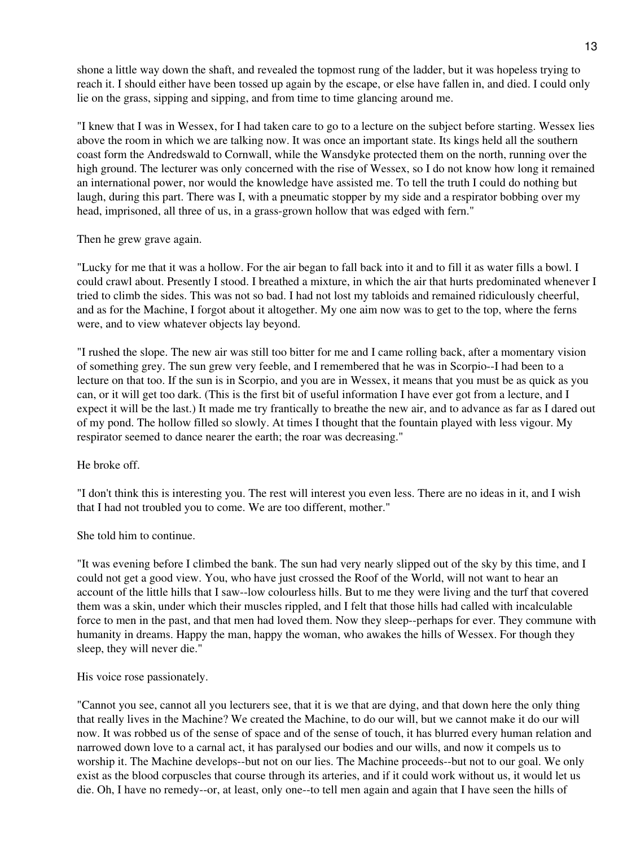shone a little way down the shaft, and revealed the topmost rung of the ladder, but it was hopeless trying to reach it. I should either have been tossed up again by the escape, or else have fallen in, and died. I could only lie on the grass, sipping and sipping, and from time to time glancing around me.

"I knew that I was in Wessex, for I had taken care to go to a lecture on the subject before starting. Wessex lies above the room in which we are talking now. It was once an important state. Its kings held all the southern coast form the Andredswald to Cornwall, while the Wansdyke protected them on the north, running over the high ground. The lecturer was only concerned with the rise of Wessex, so I do not know how long it remained an international power, nor would the knowledge have assisted me. To tell the truth I could do nothing but laugh, during this part. There was I, with a pneumatic stopper by my side and a respirator bobbing over my head, imprisoned, all three of us, in a grass-grown hollow that was edged with fern."

Then he grew grave again.

"Lucky for me that it was a hollow. For the air began to fall back into it and to fill it as water fills a bowl. I could crawl about. Presently I stood. I breathed a mixture, in which the air that hurts predominated whenever I tried to climb the sides. This was not so bad. I had not lost my tabloids and remained ridiculously cheerful, and as for the Machine, I forgot about it altogether. My one aim now was to get to the top, where the ferns were, and to view whatever objects lay beyond.

"I rushed the slope. The new air was still too bitter for me and I came rolling back, after a momentary vision of something grey. The sun grew very feeble, and I remembered that he was in Scorpio--I had been to a lecture on that too. If the sun is in Scorpio, and you are in Wessex, it means that you must be as quick as you can, or it will get too dark. (This is the first bit of useful information I have ever got from a lecture, and I expect it will be the last.) It made me try frantically to breathe the new air, and to advance as far as I dared out of my pond. The hollow filled so slowly. At times I thought that the fountain played with less vigour. My respirator seemed to dance nearer the earth; the roar was decreasing."

He broke off.

"I don't think this is interesting you. The rest will interest you even less. There are no ideas in it, and I wish that I had not troubled you to come. We are too different, mother."

She told him to continue.

"It was evening before I climbed the bank. The sun had very nearly slipped out of the sky by this time, and I could not get a good view. You, who have just crossed the Roof of the World, will not want to hear an account of the little hills that I saw--low colourless hills. But to me they were living and the turf that covered them was a skin, under which their muscles rippled, and I felt that those hills had called with incalculable force to men in the past, and that men had loved them. Now they sleep--perhaps for ever. They commune with humanity in dreams. Happy the man, happy the woman, who awakes the hills of Wessex. For though they sleep, they will never die."

His voice rose passionately.

"Cannot you see, cannot all you lecturers see, that it is we that are dying, and that down here the only thing that really lives in the Machine? We created the Machine, to do our will, but we cannot make it do our will now. It was robbed us of the sense of space and of the sense of touch, it has blurred every human relation and narrowed down love to a carnal act, it has paralysed our bodies and our wills, and now it compels us to worship it. The Machine develops--but not on our lies. The Machine proceeds--but not to our goal. We only exist as the blood corpuscles that course through its arteries, and if it could work without us, it would let us die. Oh, I have no remedy--or, at least, only one--to tell men again and again that I have seen the hills of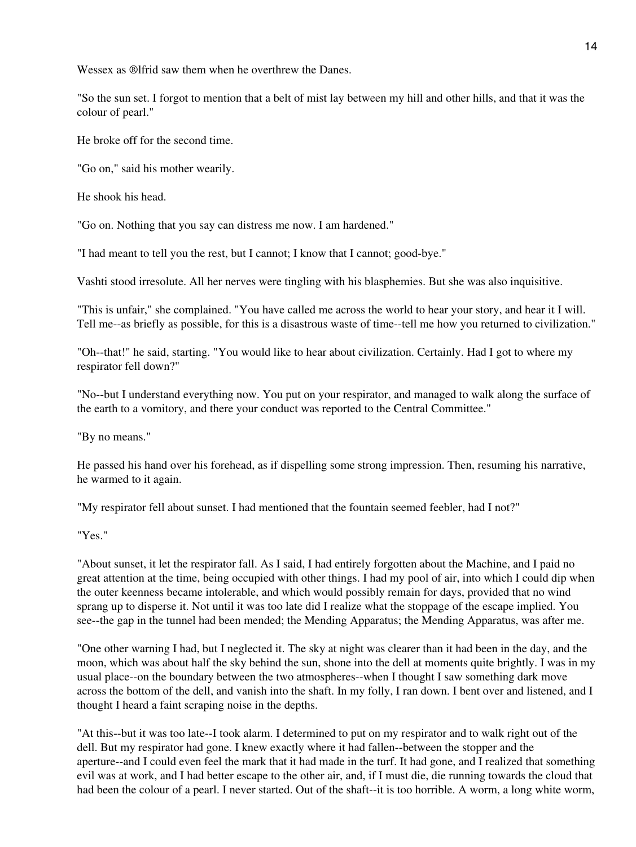Wessex as ®lfrid saw them when he overthrew the Danes.

"So the sun set. I forgot to mention that a belt of mist lay between my hill and other hills, and that it was the colour of pearl."

He broke off for the second time.

"Go on," said his mother wearily.

He shook his head.

"Go on. Nothing that you say can distress me now. I am hardened."

"I had meant to tell you the rest, but I cannot; I know that I cannot; good-bye."

Vashti stood irresolute. All her nerves were tingling with his blasphemies. But she was also inquisitive.

"This is unfair," she complained. "You have called me across the world to hear your story, and hear it I will. Tell me--as briefly as possible, for this is a disastrous waste of time--tell me how you returned to civilization."

"Oh--that!" he said, starting. "You would like to hear about civilization. Certainly. Had I got to where my respirator fell down?"

"No--but I understand everything now. You put on your respirator, and managed to walk along the surface of the earth to a vomitory, and there your conduct was reported to the Central Committee."

"By no means."

He passed his hand over his forehead, as if dispelling some strong impression. Then, resuming his narrative, he warmed to it again.

"My respirator fell about sunset. I had mentioned that the fountain seemed feebler, had I not?"

"Yes."

"About sunset, it let the respirator fall. As I said, I had entirely forgotten about the Machine, and I paid no great attention at the time, being occupied with other things. I had my pool of air, into which I could dip when the outer keenness became intolerable, and which would possibly remain for days, provided that no wind sprang up to disperse it. Not until it was too late did I realize what the stoppage of the escape implied. You see--the gap in the tunnel had been mended; the Mending Apparatus; the Mending Apparatus, was after me.

"One other warning I had, but I neglected it. The sky at night was clearer than it had been in the day, and the moon, which was about half the sky behind the sun, shone into the dell at moments quite brightly. I was in my usual place--on the boundary between the two atmospheres--when I thought I saw something dark move across the bottom of the dell, and vanish into the shaft. In my folly, I ran down. I bent over and listened, and I thought I heard a faint scraping noise in the depths.

"At this--but it was too late--I took alarm. I determined to put on my respirator and to walk right out of the dell. But my respirator had gone. I knew exactly where it had fallen--between the stopper and the aperture--and I could even feel the mark that it had made in the turf. It had gone, and I realized that something evil was at work, and I had better escape to the other air, and, if I must die, die running towards the cloud that had been the colour of a pearl. I never started. Out of the shaft--it is too horrible. A worm, a long white worm,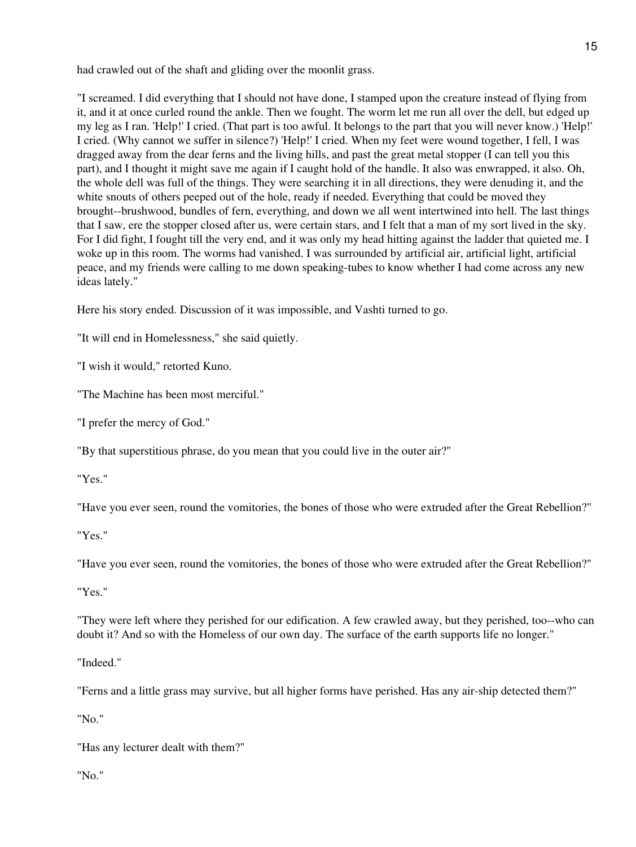had crawled out of the shaft and gliding over the moonlit grass.

"I screamed. I did everything that I should not have done, I stamped upon the creature instead of flying from it, and it at once curled round the ankle. Then we fought. The worm let me run all over the dell, but edged up my leg as I ran. 'Help!' I cried. (That part is too awful. It belongs to the part that you will never know.) 'Help!' I cried. (Why cannot we suffer in silence?) 'Help!' I cried. When my feet were wound together, I fell, I was dragged away from the dear ferns and the living hills, and past the great metal stopper (I can tell you this part), and I thought it might save me again if I caught hold of the handle. It also was enwrapped, it also. Oh, the whole dell was full of the things. They were searching it in all directions, they were denuding it, and the white snouts of others peeped out of the hole, ready if needed. Everything that could be moved they brought--brushwood, bundles of fern, everything, and down we all went intertwined into hell. The last things that I saw, ere the stopper closed after us, were certain stars, and I felt that a man of my sort lived in the sky. For I did fight, I fought till the very end, and it was only my head hitting against the ladder that quieted me. I woke up in this room. The worms had vanished. I was surrounded by artificial air, artificial light, artificial peace, and my friends were calling to me down speaking-tubes to know whether I had come across any new ideas lately."

Here his story ended. Discussion of it was impossible, and Vashti turned to go.

"It will end in Homelessness," she said quietly.

"I wish it would," retorted Kuno.

"The Machine has been most merciful."

"I prefer the mercy of God."

"By that superstitious phrase, do you mean that you could live in the outer air?"

"Yes."

"Have you ever seen, round the vomitories, the bones of those who were extruded after the Great Rebellion?"

"Yes."

"Have you ever seen, round the vomitories, the bones of those who were extruded after the Great Rebellion?"

"Yes."

"They were left where they perished for our edification. A few crawled away, but they perished, too--who can doubt it? And so with the Homeless of our own day. The surface of the earth supports life no longer."

"Indeed."

"Ferns and a little grass may survive, but all higher forms have perished. Has any air-ship detected them?"

"No."

"Has any lecturer dealt with them?"

"No."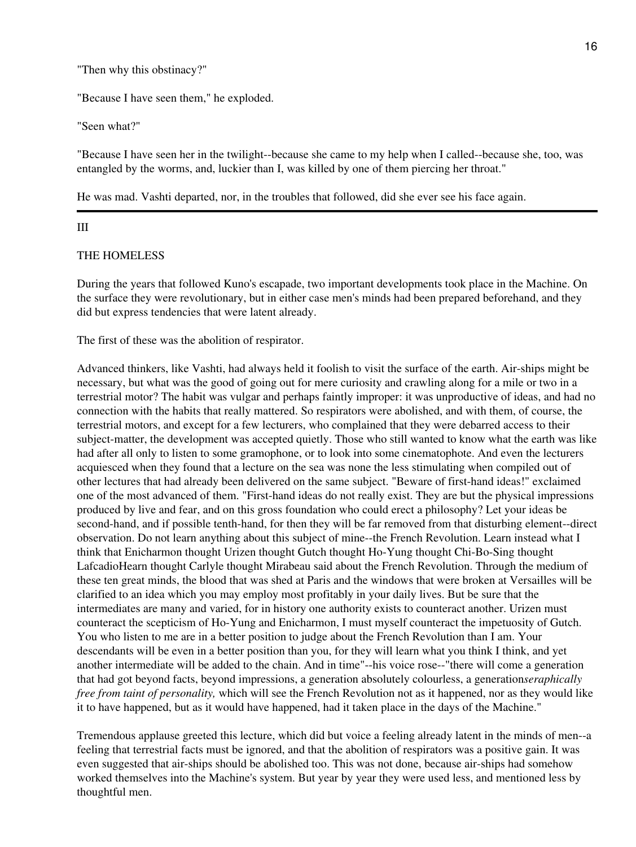"Then why this obstinacy?"

"Because I have seen them," he exploded.

"Seen what?"

"Because I have seen her in the twilight--because she came to my help when I called--because she, too, was entangled by the worms, and, luckier than I, was killed by one of them piercing her throat."

He was mad. Vashti departed, nor, in the troubles that followed, did she ever see his face again.

### III

### THE HOMELESS

During the years that followed Kuno's escapade, two important developments took place in the Machine. On the surface they were revolutionary, but in either case men's minds had been prepared beforehand, and they did but express tendencies that were latent already.

The first of these was the abolition of respirator.

Advanced thinkers, like Vashti, had always held it foolish to visit the surface of the earth. Air-ships might be necessary, but what was the good of going out for mere curiosity and crawling along for a mile or two in a terrestrial motor? The habit was vulgar and perhaps faintly improper: it was unproductive of ideas, and had no connection with the habits that really mattered. So respirators were abolished, and with them, of course, the terrestrial motors, and except for a few lecturers, who complained that they were debarred access to their subject-matter, the development was accepted quietly. Those who still wanted to know what the earth was like had after all only to listen to some gramophone, or to look into some cinematophote. And even the lecturers acquiesced when they found that a lecture on the sea was none the less stimulating when compiled out of other lectures that had already been delivered on the same subject. "Beware of first-hand ideas!" exclaimed one of the most advanced of them. "First-hand ideas do not really exist. They are but the physical impressions produced by live and fear, and on this gross foundation who could erect a philosophy? Let your ideas be second-hand, and if possible tenth-hand, for then they will be far removed from that disturbing element--direct observation. Do not learn anything about this subject of mine--the French Revolution. Learn instead what I think that Enicharmon thought Urizen thought Gutch thought Ho-Yung thought Chi-Bo-Sing thought LafcadioHearn thought Carlyle thought Mirabeau said about the French Revolution. Through the medium of these ten great minds, the blood that was shed at Paris and the windows that were broken at Versailles will be clarified to an idea which you may employ most profitably in your daily lives. But be sure that the intermediates are many and varied, for in history one authority exists to counteract another. Urizen must counteract the scepticism of Ho-Yung and Enicharmon, I must myself counteract the impetuosity of Gutch. You who listen to me are in a better position to judge about the French Revolution than I am. Your descendants will be even in a better position than you, for they will learn what you think I think, and yet another intermediate will be added to the chain. And in time"--his voice rose--"there will come a generation that had got beyond facts, beyond impressions, a generation absolutely colourless, a generation*seraphically free from taint of personality,* which will see the French Revolution not as it happened, nor as they would like it to have happened, but as it would have happened, had it taken place in the days of the Machine."

Tremendous applause greeted this lecture, which did but voice a feeling already latent in the minds of men--a feeling that terrestrial facts must be ignored, and that the abolition of respirators was a positive gain. It was even suggested that air-ships should be abolished too. This was not done, because air-ships had somehow worked themselves into the Machine's system. But year by year they were used less, and mentioned less by thoughtful men.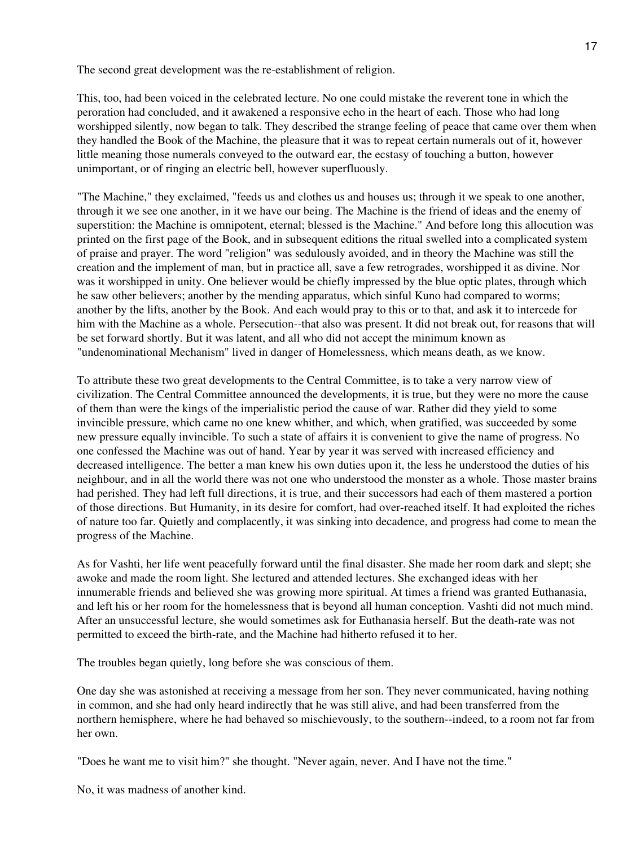The second great development was the re-establishment of religion.

This, too, had been voiced in the celebrated lecture. No one could mistake the reverent tone in which the peroration had concluded, and it awakened a responsive echo in the heart of each. Those who had long worshipped silently, now began to talk. They described the strange feeling of peace that came over them when they handled the Book of the Machine, the pleasure that it was to repeat certain numerals out of it, however little meaning those numerals conveyed to the outward ear, the ecstasy of touching a button, however unimportant, or of ringing an electric bell, however superfluously.

"The Machine," they exclaimed, "feeds us and clothes us and houses us; through it we speak to one another, through it we see one another, in it we have our being. The Machine is the friend of ideas and the enemy of superstition: the Machine is omnipotent, eternal; blessed is the Machine." And before long this allocution was printed on the first page of the Book, and in subsequent editions the ritual swelled into a complicated system of praise and prayer. The word "religion" was sedulously avoided, and in theory the Machine was still the creation and the implement of man, but in practice all, save a few retrogrades, worshipped it as divine. Nor was it worshipped in unity. One believer would be chiefly impressed by the blue optic plates, through which he saw other believers; another by the mending apparatus, which sinful Kuno had compared to worms; another by the lifts, another by the Book. And each would pray to this or to that, and ask it to intercede for him with the Machine as a whole. Persecution--that also was present. It did not break out, for reasons that will be set forward shortly. But it was latent, and all who did not accept the minimum known as "undenominational Mechanism" lived in danger of Homelessness, which means death, as we know.

To attribute these two great developments to the Central Committee, is to take a very narrow view of civilization. The Central Committee announced the developments, it is true, but they were no more the cause of them than were the kings of the imperialistic period the cause of war. Rather did they yield to some invincible pressure, which came no one knew whither, and which, when gratified, was succeeded by some new pressure equally invincible. To such a state of affairs it is convenient to give the name of progress. No one confessed the Machine was out of hand. Year by year it was served with increased efficiency and decreased intelligence. The better a man knew his own duties upon it, the less he understood the duties of his neighbour, and in all the world there was not one who understood the monster as a whole. Those master brains had perished. They had left full directions, it is true, and their successors had each of them mastered a portion of those directions. But Humanity, in its desire for comfort, had over-reached itself. It had exploited the riches of nature too far. Quietly and complacently, it was sinking into decadence, and progress had come to mean the progress of the Machine.

As for Vashti, her life went peacefully forward until the final disaster. She made her room dark and slept; she awoke and made the room light. She lectured and attended lectures. She exchanged ideas with her innumerable friends and believed she was growing more spiritual. At times a friend was granted Euthanasia, and left his or her room for the homelessness that is beyond all human conception. Vashti did not much mind. After an unsuccessful lecture, she would sometimes ask for Euthanasia herself. But the death-rate was not permitted to exceed the birth-rate, and the Machine had hitherto refused it to her.

The troubles began quietly, long before she was conscious of them.

One day she was astonished at receiving a message from her son. They never communicated, having nothing in common, and she had only heard indirectly that he was still alive, and had been transferred from the northern hemisphere, where he had behaved so mischievously, to the southern--indeed, to a room not far from her own.

"Does he want me to visit him?" she thought. "Never again, never. And I have not the time."

No, it was madness of another kind.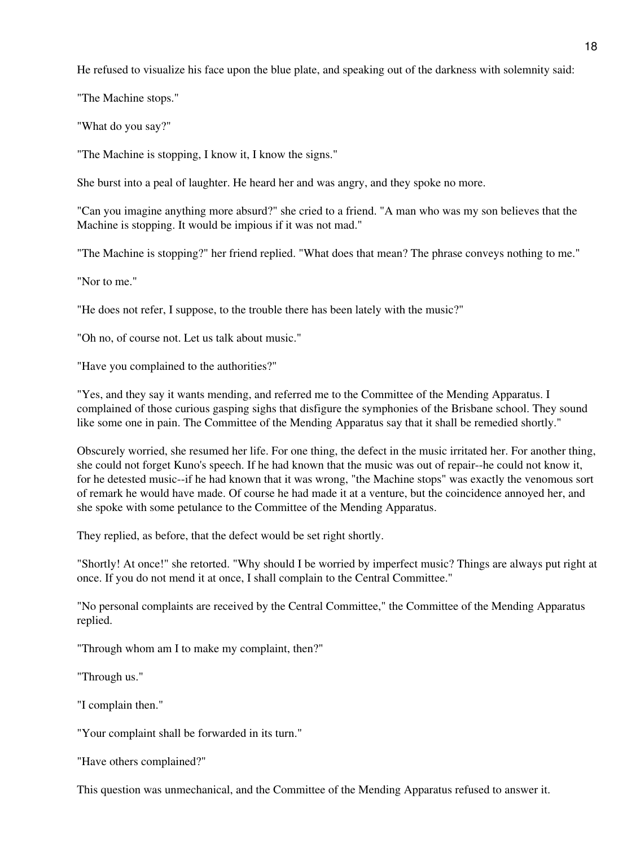He refused to visualize his face upon the blue plate, and speaking out of the darkness with solemnity said:

"The Machine stops."

"What do you say?"

"The Machine is stopping, I know it, I know the signs."

She burst into a peal of laughter. He heard her and was angry, and they spoke no more.

"Can you imagine anything more absurd?" she cried to a friend. "A man who was my son believes that the Machine is stopping. It would be impious if it was not mad."

"The Machine is stopping?" her friend replied. "What does that mean? The phrase conveys nothing to me."

"Nor to me."

"He does not refer, I suppose, to the trouble there has been lately with the music?"

"Oh no, of course not. Let us talk about music."

"Have you complained to the authorities?"

"Yes, and they say it wants mending, and referred me to the Committee of the Mending Apparatus. I complained of those curious gasping sighs that disfigure the symphonies of the Brisbane school. They sound like some one in pain. The Committee of the Mending Apparatus say that it shall be remedied shortly."

Obscurely worried, she resumed her life. For one thing, the defect in the music irritated her. For another thing, she could not forget Kuno's speech. If he had known that the music was out of repair--he could not know it, for he detested music--if he had known that it was wrong, "the Machine stops" was exactly the venomous sort of remark he would have made. Of course he had made it at a venture, but the coincidence annoyed her, and she spoke with some petulance to the Committee of the Mending Apparatus.

They replied, as before, that the defect would be set right shortly.

"Shortly! At once!" she retorted. "Why should I be worried by imperfect music? Things are always put right at once. If you do not mend it at once, I shall complain to the Central Committee."

"No personal complaints are received by the Central Committee," the Committee of the Mending Apparatus replied.

"Through whom am I to make my complaint, then?"

"Through us."

"I complain then."

"Your complaint shall be forwarded in its turn."

"Have others complained?"

This question was unmechanical, and the Committee of the Mending Apparatus refused to answer it.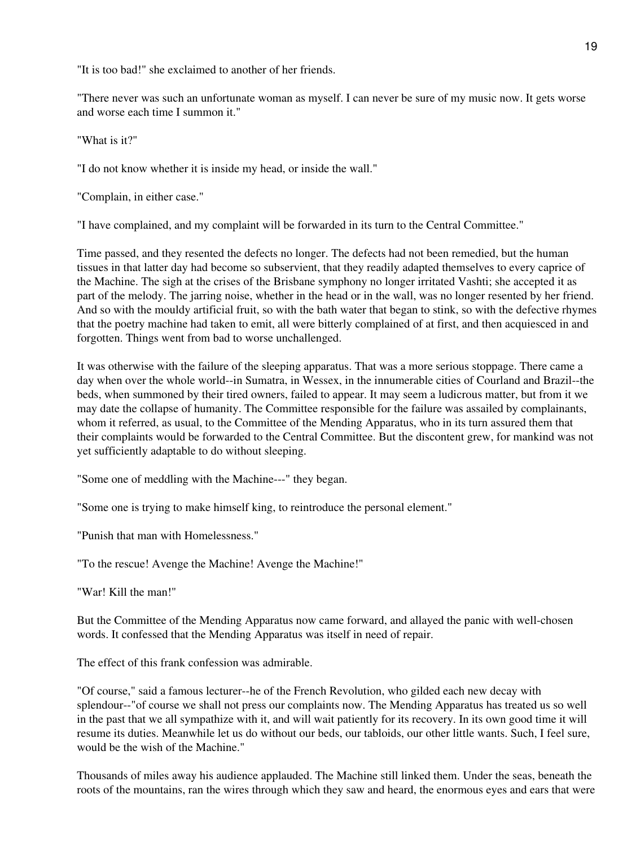"It is too bad!" she exclaimed to another of her friends.

"There never was such an unfortunate woman as myself. I can never be sure of my music now. It gets worse and worse each time I summon it."

"What is it?"

"I do not know whether it is inside my head, or inside the wall."

"Complain, in either case."

"I have complained, and my complaint will be forwarded in its turn to the Central Committee."

Time passed, and they resented the defects no longer. The defects had not been remedied, but the human tissues in that latter day had become so subservient, that they readily adapted themselves to every caprice of the Machine. The sigh at the crises of the Brisbane symphony no longer irritated Vashti; she accepted it as part of the melody. The jarring noise, whether in the head or in the wall, was no longer resented by her friend. And so with the mouldy artificial fruit, so with the bath water that began to stink, so with the defective rhymes that the poetry machine had taken to emit, all were bitterly complained of at first, and then acquiesced in and forgotten. Things went from bad to worse unchallenged.

It was otherwise with the failure of the sleeping apparatus. That was a more serious stoppage. There came a day when over the whole world--in Sumatra, in Wessex, in the innumerable cities of Courland and Brazil--the beds, when summoned by their tired owners, failed to appear. It may seem a ludicrous matter, but from it we may date the collapse of humanity. The Committee responsible for the failure was assailed by complainants, whom it referred, as usual, to the Committee of the Mending Apparatus, who in its turn assured them that their complaints would be forwarded to the Central Committee. But the discontent grew, for mankind was not yet sufficiently adaptable to do without sleeping.

"Some one of meddling with the Machine---" they began.

"Some one is trying to make himself king, to reintroduce the personal element."

"Punish that man with Homelessness."

"To the rescue! Avenge the Machine! Avenge the Machine!"

"War! Kill the man!"

But the Committee of the Mending Apparatus now came forward, and allayed the panic with well-chosen words. It confessed that the Mending Apparatus was itself in need of repair.

The effect of this frank confession was admirable.

"Of course," said a famous lecturer--he of the French Revolution, who gilded each new decay with splendour--"of course we shall not press our complaints now. The Mending Apparatus has treated us so well in the past that we all sympathize with it, and will wait patiently for its recovery. In its own good time it will resume its duties. Meanwhile let us do without our beds, our tabloids, our other little wants. Such, I feel sure, would be the wish of the Machine."

Thousands of miles away his audience applauded. The Machine still linked them. Under the seas, beneath the roots of the mountains, ran the wires through which they saw and heard, the enormous eyes and ears that were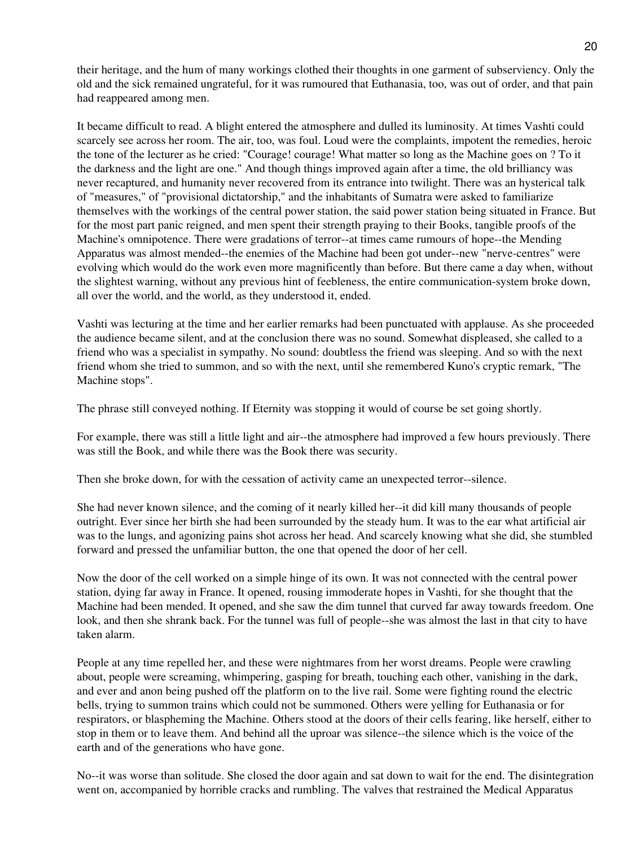their heritage, and the hum of many workings clothed their thoughts in one garment of subserviency. Only the old and the sick remained ungrateful, for it was rumoured that Euthanasia, too, was out of order, and that pain had reappeared among men.

It became difficult to read. A blight entered the atmosphere and dulled its luminosity. At times Vashti could scarcely see across her room. The air, too, was foul. Loud were the complaints, impotent the remedies, heroic the tone of the lecturer as he cried: "Courage! courage! What matter so long as the Machine goes on ? To it the darkness and the light are one." And though things improved again after a time, the old brilliancy was never recaptured, and humanity never recovered from its entrance into twilight. There was an hysterical talk of "measures," of "provisional dictatorship," and the inhabitants of Sumatra were asked to familiarize themselves with the workings of the central power station, the said power station being situated in France. But for the most part panic reigned, and men spent their strength praying to their Books, tangible proofs of the Machine's omnipotence. There were gradations of terror--at times came rumours of hope--the Mending Apparatus was almost mended--the enemies of the Machine had been got under--new "nerve-centres" were evolving which would do the work even more magnificently than before. But there came a day when, without the slightest warning, without any previous hint of feebleness, the entire communication-system broke down, all over the world, and the world, as they understood it, ended.

Vashti was lecturing at the time and her earlier remarks had been punctuated with applause. As she proceeded the audience became silent, and at the conclusion there was no sound. Somewhat displeased, she called to a friend who was a specialist in sympathy. No sound: doubtless the friend was sleeping. And so with the next friend whom she tried to summon, and so with the next, until she remembered Kuno's cryptic remark, "The Machine stops".

The phrase still conveyed nothing. If Eternity was stopping it would of course be set going shortly.

For example, there was still a little light and air--the atmosphere had improved a few hours previously. There was still the Book, and while there was the Book there was security.

Then she broke down, for with the cessation of activity came an unexpected terror--silence.

She had never known silence, and the coming of it nearly killed her--it did kill many thousands of people outright. Ever since her birth she had been surrounded by the steady hum. It was to the ear what artificial air was to the lungs, and agonizing pains shot across her head. And scarcely knowing what she did, she stumbled forward and pressed the unfamiliar button, the one that opened the door of her cell.

Now the door of the cell worked on a simple hinge of its own. It was not connected with the central power station, dying far away in France. It opened, rousing immoderate hopes in Vashti, for she thought that the Machine had been mended. It opened, and she saw the dim tunnel that curved far away towards freedom. One look, and then she shrank back. For the tunnel was full of people--she was almost the last in that city to have taken alarm.

People at any time repelled her, and these were nightmares from her worst dreams. People were crawling about, people were screaming, whimpering, gasping for breath, touching each other, vanishing in the dark, and ever and anon being pushed off the platform on to the live rail. Some were fighting round the electric bells, trying to summon trains which could not be summoned. Others were yelling for Euthanasia or for respirators, or blaspheming the Machine. Others stood at the doors of their cells fearing, like herself, either to stop in them or to leave them. And behind all the uproar was silence--the silence which is the voice of the earth and of the generations who have gone.

No--it was worse than solitude. She closed the door again and sat down to wait for the end. The disintegration went on, accompanied by horrible cracks and rumbling. The valves that restrained the Medical Apparatus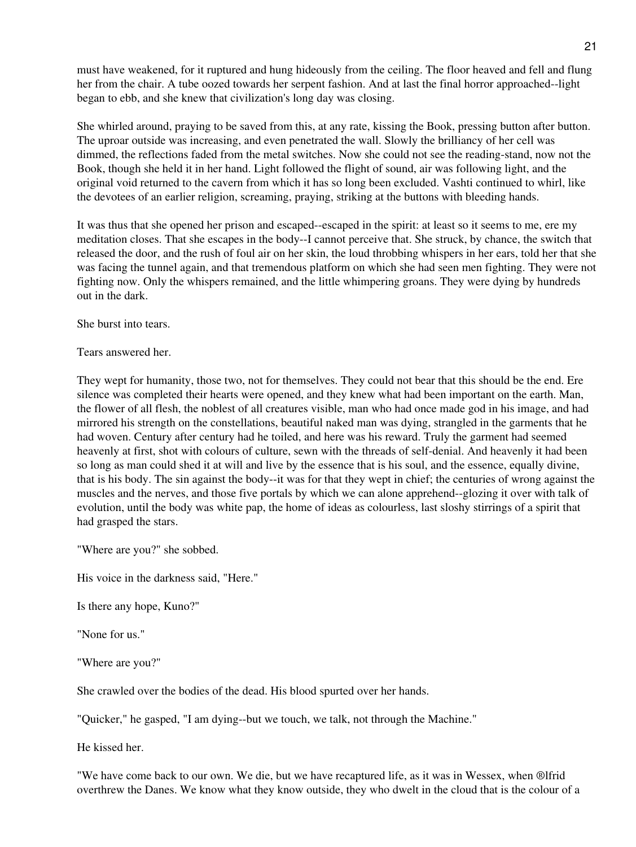must have weakened, for it ruptured and hung hideously from the ceiling. The floor heaved and fell and flung her from the chair. A tube oozed towards her serpent fashion. And at last the final horror approached--light began to ebb, and she knew that civilization's long day was closing.

She whirled around, praying to be saved from this, at any rate, kissing the Book, pressing button after button. The uproar outside was increasing, and even penetrated the wall. Slowly the brilliancy of her cell was dimmed, the reflections faded from the metal switches. Now she could not see the reading-stand, now not the Book, though she held it in her hand. Light followed the flight of sound, air was following light, and the original void returned to the cavern from which it has so long been excluded. Vashti continued to whirl, like the devotees of an earlier religion, screaming, praying, striking at the buttons with bleeding hands.

It was thus that she opened her prison and escaped--escaped in the spirit: at least so it seems to me, ere my meditation closes. That she escapes in the body--I cannot perceive that. She struck, by chance, the switch that released the door, and the rush of foul air on her skin, the loud throbbing whispers in her ears, told her that she was facing the tunnel again, and that tremendous platform on which she had seen men fighting. They were not fighting now. Only the whispers remained, and the little whimpering groans. They were dying by hundreds out in the dark.

She burst into tears.

Tears answered her.

They wept for humanity, those two, not for themselves. They could not bear that this should be the end. Ere silence was completed their hearts were opened, and they knew what had been important on the earth. Man, the flower of all flesh, the noblest of all creatures visible, man who had once made god in his image, and had mirrored his strength on the constellations, beautiful naked man was dying, strangled in the garments that he had woven. Century after century had he toiled, and here was his reward. Truly the garment had seemed heavenly at first, shot with colours of culture, sewn with the threads of self-denial. And heavenly it had been so long as man could shed it at will and live by the essence that is his soul, and the essence, equally divine, that is his body. The sin against the body--it was for that they wept in chief; the centuries of wrong against the muscles and the nerves, and those five portals by which we can alone apprehend--glozing it over with talk of evolution, until the body was white pap, the home of ideas as colourless, last sloshy stirrings of a spirit that had grasped the stars.

"Where are you?" she sobbed.

His voice in the darkness said, "Here."

Is there any hope, Kuno?"

"None for us."

"Where are you?"

She crawled over the bodies of the dead. His blood spurted over her hands.

"Quicker," he gasped, "I am dying--but we touch, we talk, not through the Machine."

He kissed her.

"We have come back to our own. We die, but we have recaptured life, as it was in Wessex, when ®lfrid overthrew the Danes. We know what they know outside, they who dwelt in the cloud that is the colour of a